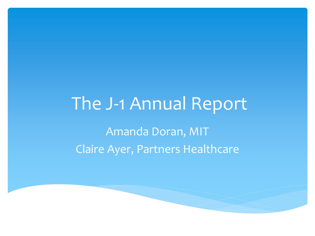# The J-1 Annual Report

Amanda Doran, MIT Claire Ayer, Partners Healthcare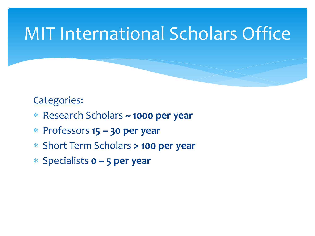# MIT International Scholars Office

#### Categories:

- ∗ Research Scholars **~ 1000 per year**
- ∗ Professors **15 – 30 per year**
- ∗ Short Term Scholars **> 100 per year**
- ∗ Specialists **0 – 5 per year**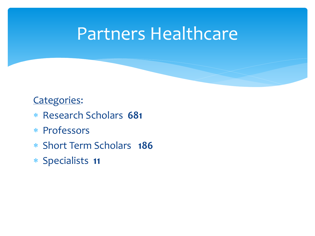### Partners Healthcare

#### Categories:

- ∗ Research Scholars **681**
- ∗ Professors
- ∗ Short Term Scholars **186**
- ∗ Specialists **11**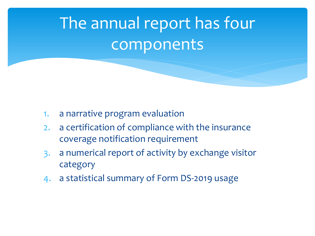# The annual report has four components

- 1. a narrative program evaluation
- 2. a certification of compliance with the insurance coverage notification requirement
- 3. a numerical report of activity by exchange visitor category
- 4. a statistical summary of Form DS-2019 usage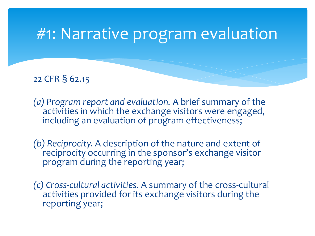#### #1: Narrative program evaluation

22 CFR § 62.15

*(a) Program report and evaluation.* A brief summary of the activities in which the exchange visitors were engaged, including an evaluation of program effectiveness;

*(b) Reciprocity.* A description of the nature and extent of reciprocity occurring in the sponsor's exchange visitor program during the reporting year;

*(c) Cross-cultural activities*. A summary of the cross-cultural activities provided for its exchange visitors during the reporting year;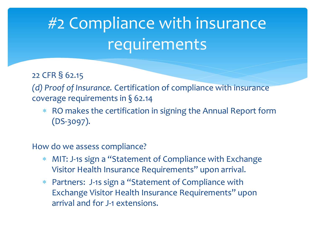# #2 Compliance with insurance requirements

22 CFR § 62.15

*(d) Proof of Insurance.* Certification of compliance with insurance coverage requirements in § 62.14

Ko makes the certification in signing the Annual Report form (DS-3097).

How do we assess compliance?

- MIT: J-1s sign a "Statement of Compliance with Exchange Visitor Health Insurance Requirements" upon arrival.
- ∗ Partners: J-1s sign a "Statement of Compliance with Exchange Visitor Health Insurance Requirements" upon arrival and for J-1 extensions.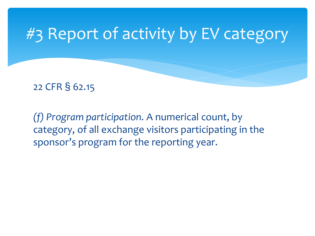## #3 Report of activity by EV category

22 CFR § 62.15

*(f) Program participation.* A numerical count, by category, of all exchange visitors participating in the sponsor's program for the reporting year.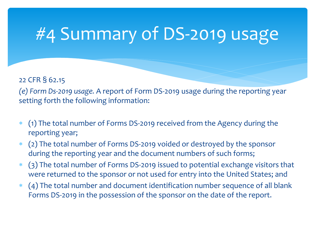# #4 Summary of DS-2019 usage

#### 22 CFR § 62.15 *(e) Form Ds-2019 usage.* A report of Form DS-2019 usage during the reporting year

setting forth the following information:

- ∗ (1) The total number of Forms DS-2019 received from the Agency during the reporting year;
- (2) The total number of Forms DS-2019 voided or destroyed by the sponsor during the reporting year and the document numbers of such forms;
- ∗ (3) The total number of Forms DS-2019 issued to potential exchange visitors that were returned to the sponsor or not used for entry into the United States; and
- ∗ (4) The total number and document identification number sequence of all blank Forms DS-2019 in the possession of the sponsor on the date of the report.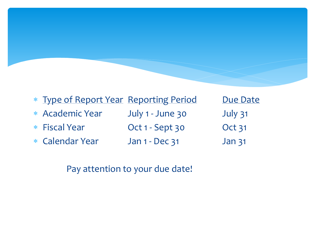| * Type of Report Year Reporting Period |                       | Due Date          |
|----------------------------------------|-----------------------|-------------------|
| * Academic Year                        | July 1 - June 30      | July 31           |
| * Fiscal Year                          | Oct 1 - Sept 30       | <b>Oct 31</b>     |
| * Calendar Year                        | <b>Jan 1 - Dec 31</b> | Jan <sub>31</sub> |
|                                        |                       |                   |

Pay attention to your due date!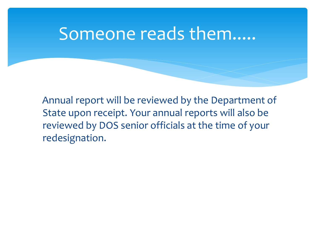#### Someone reads them.....

 Annual report will be reviewed by the Department of State upon receipt. Your annual reports will also be reviewed by DOS senior officials at the time of your redesignation.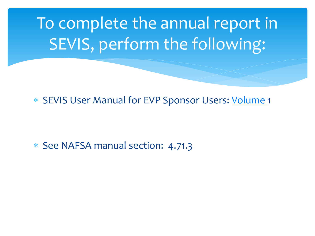To complete the annual report in SEVIS, perform the following:

∗ SEVIS User Manual for EVP Sponsor Users: [Volume](http://www.nafsa.org/resourcelibrary/default.aspx?id=16164) 1

∗ See NAFSA manual section: 4.71.3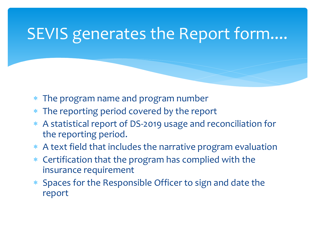### SEVIS generates the Report form....

- The program name and program number
- The reporting period covered by the report
- ∗ A statistical report of DS-2019 usage and reconciliation for the reporting period.
- A text field that includes the narrative program evaluation
- ∗ Certification that the program has complied with the insurance requirement
- ∗ Spaces for the Responsible Officer to sign and date the report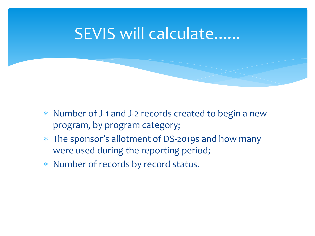#### SEVIS will calculate......

- ∗ Number of J-1 and J-2 records created to begin a new program, by program category;
- ∗ The sponsor's allotment of DS-2019s and how many were used during the reporting period;
- ∗ Number of records by record status.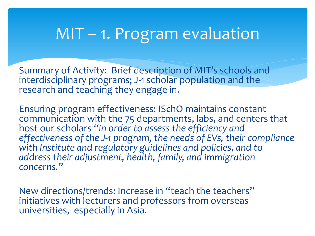#### MIT – 1. Program evaluation

Summary of Activity: Brief description of MIT's schools and interdisciplinary programs; J-1 scholar population and the research and teaching they engage in.

Ensuring program effectiveness: ISchO maintains constant communication with the 75 departments, labs, and centers that host our scholars *"in order to assess the efficiency and effectiveness of the J-1 program, the needs of EVs, their compliance with Institute and regulatory guidelines and policies, and to address their adjustment, health, family, and immigration concerns."*

New directions/trends: Increase in "teach the teachers" initiatives with lecturers and professors from overseas universities, especially in Asia.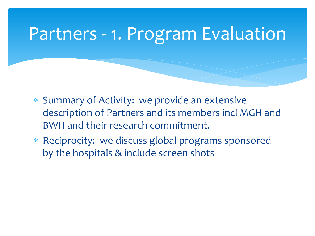# Partners - 1. Program Evaluation

- ∗ Summary of Activity: we provide an extensive description of Partners and its members incl MGH and BWH and their research commitment.
- ∗ Reciprocity: we discuss global programs sponsored by the hospitals & include screen shots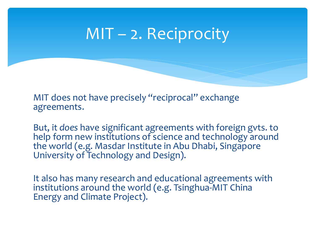#### MIT – 2. Reciprocity

MIT does not have precisely "reciprocal" exchange agreements.

But, it *does* have significant agreements with foreign gvts. to help form new institutions of science and technology around the world (e.g. Masdar Institute in Abu Dhabi, Singapore University of Technology and Design).

It also has many research and educational agreements with institutions around the world (e.g. Tsinghua-MIT China Energy and Climate Project).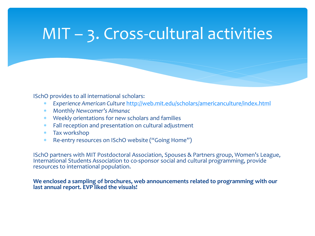## MIT – 3. Cross-cultural activities

ISchO provides to all international scholars:

- ∗ *Experience American Culture* <http://web.mit.edu/scholars/americanculture/index.html>
- ∗ Monthly *Newcomer's Almanac*
- Weekly orientations for new scholars and families
- ∗ Fall reception and presentation on cultural adjustment
- ∗ Tax workshop
- Re-entry resources on ISchO website ("Going Home")

ISchO partners with MIT Postdoctoral Association, Spouses & Partners group, Women's League, International Students Association to co-sponsor social and cultural programming, provide resources to international population.

#### **We enclosed a sampling of brochures, web announcements related to programming with our last annual report. EVP liked the visuals!**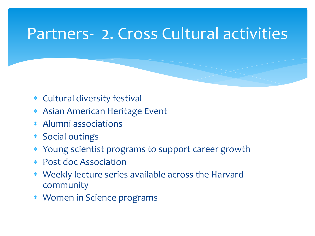#### Partners- 2. Cross Cultural activities

- ∗ Cultural diversity festival
- ∗ Asian American Heritage Event
- ∗ Alumni associations
- ∗ Social outings
- ∗ Young scientist programs to support career growth
- ∗ Post doc Association
- ∗ Weekly lecture series available across the Harvard community
- ∗ Women in Science programs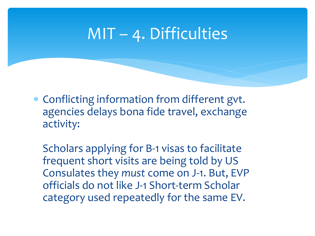#### MIT – 4. Difficulties

∗ Conflicting information from different gvt. agencies delays bona fide travel, exchange activity:

Scholars applying for B-1 visas to facilitate frequent short visits are being told by US Consulates they *must* come on J-1. But, EVP officials do not like J-1 Short-term Scholar category used repeatedly for the same EV.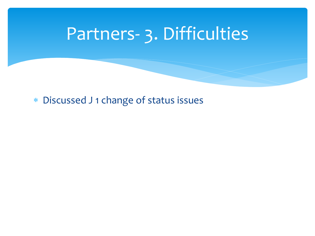# Partners- 3. Difficulties

∗ Discussed J 1 change of status issues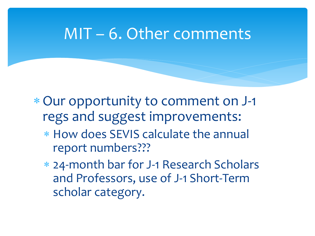#### MIT – 6. Other comments

∗Our opportunity to comment on J-1 regs and suggest improvements:

- ∗ How does SEVIS calculate the annual report numbers???
- ∗ 24-month bar for J-1 Research Scholars and Professors, use of J-1 Short-Term scholar category.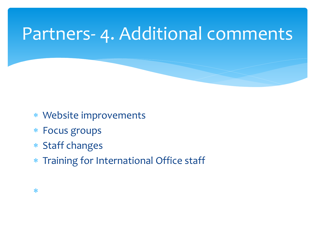# Partners- 4. Additional comments

- ∗ Website improvements
- ∗ Focus groups
- ∗ Staff changes
- ∗ Training for International Office staff